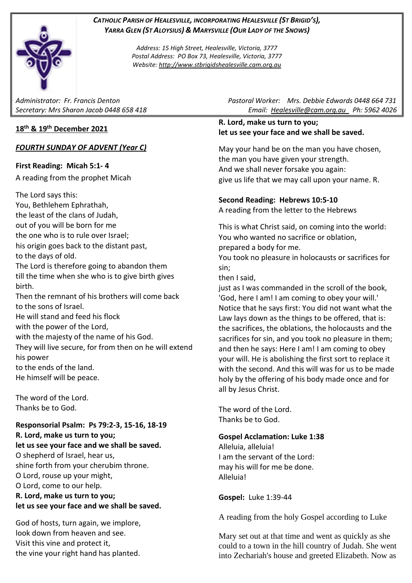#### *CATHOLIC PARISH OF HEALESVILLE, INCORPORATING HEALESVILLE (ST BRIGID'S), YARRA GLEN (ST ALOYSIUS) & MARYSVILLE (OUR LADY OF THE SNOWS)*

*Address: 15 High Street, Healesville, Victoria, 3777 Postal Address: PO Box 73, Healesville, Victoria, 3777 Website: [http://www.stbrigidshealesville.cam.org.au](http://www.stbrigidshealesville.cam.org.au/)*

## **18 th & 19 th December 2021**

## *FOURTH SUNDAY OF ADVENT (Year C)*

### **First Reading: Micah 5:1- 4**

A reading from the prophet Micah

The Lord says this: You, Bethlehem Ephrathah, the least of the clans of Judah, out of you will be born for me the one who is to rule over Israel; his origin goes back to the distant past, to the days of old. The Lord is therefore going to abandon them till the time when she who is to give birth gives birth. Then the remnant of his brothers will come back to the sons of Israel.

He will stand and feed his flock with the power of the Lord, with the majesty of the name of his God. They will live secure, for from then on he will extend his power to the ends of the land. He himself will be peace.

The word of the Lord. Thanks be to God.

#### **Responsorial Psalm: Ps 79:2-3, 15-16, 18-19 R. Lord, make us turn to you; let us see your face and we shall be saved.**

O shepherd of Israel, hear us, shine forth from your cherubim throne. O Lord, rouse up your might, O Lord, come to our help. **R. Lord, make us turn to you; let us see your face and we shall be saved.**

God of hosts, turn again, we implore, look down from heaven and see. Visit this vine and protect it, the vine your right hand has planted.

*Administrator: Fr. Francis Denton Pastoral Worker: Mrs. Debbie Edwards 0448 664 731 Secretary: Mrs Sharon Jacob 0448 658 418 Email: [Healesville@cam.org.au](mailto:Healesville@cam.org.au) Ph: 5962 4026* 

## **R. Lord, make us turn to you; let us see your face and we shall be saved.**

May your hand be on the man you have chosen, the man you have given your strength. And we shall never forsake you again: give us life that we may call upon your name. R.

## **Second Reading: Hebrews 10:5-10**

A reading from the letter to the Hebrews

This is what Christ said, on coming into the world: You who wanted no sacrifice or oblation, prepared a body for me.

You took no pleasure in holocausts or sacrifices for sin;

then I said,

just as I was commanded in the scroll of the book, 'God, here I am! I am coming to obey your will.' Notice that he says first: You did not want what the Law lays down as the things to be offered, that is: the sacrifices, the oblations, the holocausts and the sacrifices for sin, and you took no pleasure in them; and then he says: Here I am! I am coming to obey your will. He is abolishing the first sort to replace it with the second. And this will was for us to be made holy by the offering of his body made once and for all by Jesus Christ.

The word of the Lord. Thanks be to God.

# **Gospel Acclamation: Luke 1:38**

Alleluia, alleluia! I am the servant of the Lord: may his will for me be done. Alleluia!

**Gospel:** Luke 1:39-44

A reading from the holy Gospel according to Luke

Mary set out at that time and went as quickly as she could to a town in the hill country of Judah. She went into Zechariah's house and greeted Elizabeth. Now as

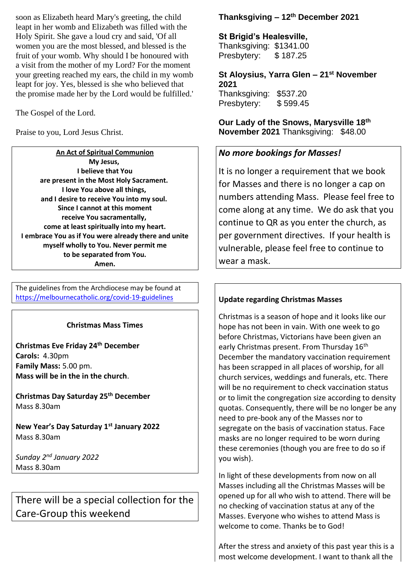soon as Elizabeth heard Mary's greeting, the child leapt in her womb and Elizabeth was filled with the Holy Spirit. She gave a loud cry and said, 'Of all women you are the most blessed, and blessed is the fruit of your womb. Why should I be honoured with a visit from the mother of my Lord? For the moment your greeting reached my ears, the child in my womb leapt for joy. Yes, blessed is she who believed that the promise made her by the Lord would be fulfilled.'

The Gospel of the Lord.

Praise to you, Lord Jesus Christ.

**An Act of Spiritual Communion My Jesus, I believe that You are present in the Most Holy Sacrament. I love You above all things, and I desire to receive You into my soul. Since I cannot at this moment receive You sacramentally, come at least spiritually into my heart. I embrace You as if You were already there and unite myself wholly to You. Never permit me to be separated from You. Amen.**

The guidelines from the Archdiocese may be found at [https://melbournecatholic.org/covid-19-guidelines](https://melbournecatholic.org/covid-19-guidelines?fbclid=IwAR1ryINANYNplkq8jXs_Q175fnIfOaiQY-g_IIeSrTVc6diDyY0Ozs3vwKc)

#### **Christmas Mass Times**

**Christmas Eve Friday 24th December Carols:** 4.30pm **Family Mass:** 5.00 pm. **Mass will be in the in the church**.

**Christmas Day Saturday 25th December** Mass 8.30am

**New Year's Day Saturday 1st January 2022** Mass 8.30am

*Sunday 2nd January 2022* Mass 8.30am

There will be a special collection for the Care-Group this weekend

## **Thanksgiving – 12th December 2021**

**St Brigid's Healesville,** 

Thanksgiving: \$1341.00 Presbytery: \$187.25

**St Aloysius, Yarra Glen – 21st November 2021**

Thanksgiving: \$537.20 Presbytery: \$599.45

**Our Lady of the Snows, Marysville 18th November 2021** Thanksgiving: \$48.00

## *No more bookings for Masses!*

It is no longer a requirement that we book for Masses and there is no longer a cap on numbers attending Mass. Please feel free to come along at any time. We do ask that you continue to QR as you enter the church, as per government directives. If your health is vulnerable, please feel free to continue to wear a mask.

### **Update regarding Christmas Masses**

Christmas is a season of hope and it looks like our hope has not been in vain. With one week to go before Christmas, Victorians have been given an early Christmas present. From Thursday 16<sup>th</sup> December the mandatory vaccination requirement has been scrapped in all places of worship, for all church services, weddings and funerals, etc. There will be no requirement to check vaccination status or to limit the congregation size according to density quotas. Consequently, there will be no longer be any need to pre-book any of the Masses nor to segregate on the basis of vaccination status. Face masks are no longer required to be worn during these ceremonies (though you are free to do so if you wish).

In light of these developments from now on all Masses including all the Christmas Masses will be opened up for all who wish to attend. There will be no checking of vaccination status at any of the Masses. Everyone who wishes to attend Mass is welcome to come. Thanks be to God!

After the stress and anxiety of this past year this is a most welcome development. I want to thank all the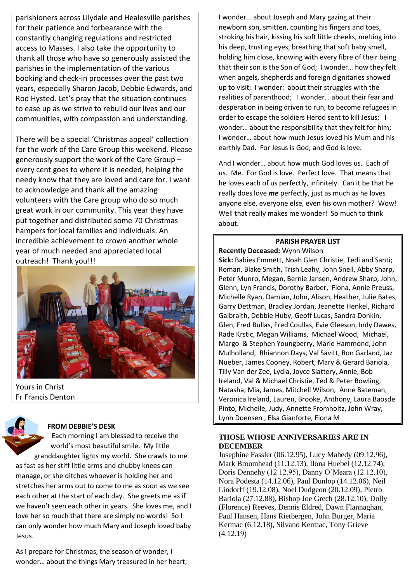parishioners across Lilydale and Healesville parishes for their patience and forbearance with the constantly changing regulations and restricted access to Masses. I also take the opportunity to thank all those who have so generously assisted the parishes in the implementation of the various booking and check-in processes over the past two years, especially Sharon Jacob, Debbie Edwards, and Rod Hysted. Let's pray that the situation continues to ease up as we strive to rebuild our lives and our communities, with compassion and understanding.

There will be a special 'Christmas appeal' collection for the work of the Care Group this weekend. Please generously support the work of the Care Group – every cent goes to where it is needed, helping the needy know that they are loved and care for. I want to acknowledge and thank all the amazing volunteers with the Care group who do so much great work in our community. This year they have put together and distributed some 70 Christmas hampers for local families and individuals. An incredible achievement to crown another whole year of much needed and appreciated local outreach! Thank you!!!



Yours in Christ Fr Francis Denton

#### **FROM DEBBIE'S DESK**

Each morning I am blessed to receive the world's most beautiful smile. My little granddaughter lights my world. She crawls to me as fast as her stiff little arms and chubby knees can manage, or she ditches whoever is holding her and stretches her arms out to come to me as soon as we see each other at the start of each day. She greets me as if we haven't seen each other in years. She loves me, and I love her so much that there are simply no words! So I can only wonder how much Mary and Joseph loved baby Jesus.

As I prepare for Christmas, the season of wonder, I wonder… about the things Mary treasured in her heart; I wonder… about Joseph and Mary gazing at their newborn son, smitten, counting his fingers and toes, stroking his hair, kissing his soft little cheeks, melting into his deep, trusting eyes, breathing that soft baby smell, holding him close, knowing with every fibre of their being that their son is the Son of God; I wonder… how they felt when angels, shepherds and foreign dignitaries showed up to visit; I wonder: about their struggles with the realities of parenthood; I wonder… about their fear and desperation in being driven to run, to become refugees in order to escape the soldiers Herod sent to kill Jesus; I wonder… about the responsibility that they felt for him; I wonder… about how much Jesus loved his Mum and his earthly Dad. For Jesus is God, and God is love.

And I wonder… about how much God loves us. Each of us. Me. For God is love. Perfect love. That means that he loves each of us perfectly, infinitely. Can it be that he really does love *me* perfectly, just as much as he loves anyone else, everyone else, even his own mother? Wow! Well that really makes me wonder! So much to think about.

#### **PARISH PRAYER LIST**

**Recently Deceased:** Wynn Wilson

**Sick:** Babies Emmett, Noah Glen Christie, Tedi and Santi; Roman, Blake Smith, Trish Leahy, John Snell, Abby Sharp, Peter Munro, Megan, Bernie Jansen, Andrew Sharp, John, Glenn, Lyn Francis, Dorothy Barber, Fiona, Annie Preuss, Michelle Ryan, Damian, John, Alison, Heather, Julie Bates, Garry Dettman, Bradley Jordan, Jeanette Henkel, Richard Galbraith, Debbie Huby, Geoff Lucas, Sandra Donkin, Glen, Fred Bullas, Fred Coullas, Evie Gleeson, Indy Dawes, Rade Krstic, Megan Williams, Michael Wood, Michael, Margo & Stephen Youngberry, Marie Hammond, John Mulholland, Rhiannon Days, Val Savitt, Ron Garland, Jaz Nueber, James Cooney, Robert, Mary & Gerard Bariola, Tilly Van der Zee, Lydia, Joyce Slattery, Annie, Bob Ireland, Val & Michael Christie, Ted & Peter Bowling, Natasha, Mia, James, Mitchell Wilson, Anne Bateman, Veronica Ireland, Lauren, Brooke, Anthony, Laura Baosde Pinto, Michelle, Judy, Annette Fromholtz, John Wray, Lynn Doensen , Elsa Gianforte, Fiona M

#### **THOSE WHOSE ANNIVERSARIES ARE IN DECEMBER**

Josephine Fassler (06.12.95), Lucy Mahedy (09.12.96), Mark Broomhead (11.12.13), Ilona Huebel (12.12.74), Doris Dennehy (12.12.95), Danny O'Meara (12.12.10), Nora Podesta (14.12.06), Paul Dunlop (14.12.06), Neil Lindorff (19.12.08), Noel Dudgeon (20.12.09), Pietro Bariola (27.12.88), Bishop Joe Grech (28.12.10), Dolly (Florence) Reeves, Dennis Eldred, Dawn Flannaghan, Paul Hansen, Hans Rietbergen, John Burger, Maria Kermac (6.12.18), Silvano Kermac, Tony Grieve (4.12.19)